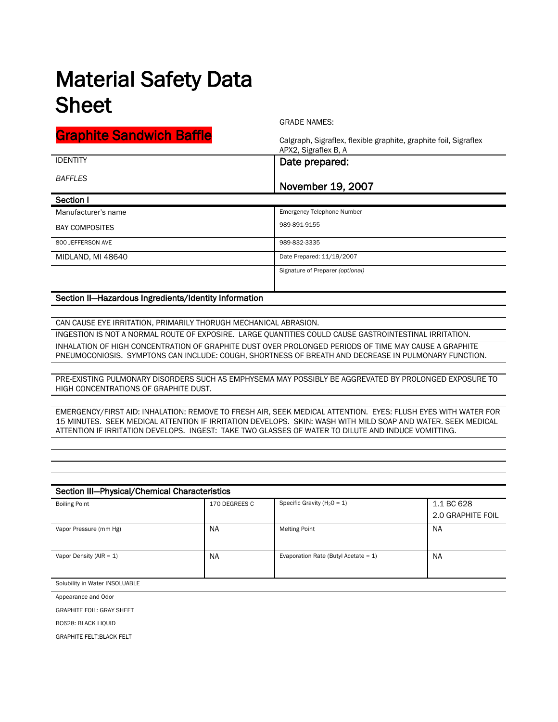## Material Safety Data Sheet

GRADE NAMES:

| <b>Graphite Sandwich Baffle</b> | Calgraph, Sigraflex, flexible graphite, graphite foil, Sigraflex<br>APX2, Sigraflex B, A |
|---------------------------------|------------------------------------------------------------------------------------------|
| <b>IDENTITY</b>                 | Date prepared:                                                                           |
| <b>BAFFLES</b>                  | November 19, 2007                                                                        |
| Section I                       |                                                                                          |
| Manufacturer's name             | <b>Emergency Telephone Number</b>                                                        |
| <b>BAY COMPOSITES</b>           | 989-891-9155                                                                             |
| 800 JEFFERSON AVE               | 989-832-3335                                                                             |
| MIDLAND, MI 48640               | Date Prepared: 11/19/2007                                                                |
|                                 | Signature of Preparer (optional)                                                         |

## Section II—Hazardous Ingredients/Identity Information

CAN CAUSE EYE IRRITATION, PRIMARILY THORUGH MECHANICAL ABRASION.

INGESTION IS NOT A NORMAL ROUTE OF EXPOSIRE. LARGE QUANTITIES COULD CAUSE GASTROINTESTINAL IRRITATION.

INHALATION OF HIGH CONCENTRATION OF GRAPHITE DUST OVER PROLONGED PERIODS OF TIME MAY CAUSE A GRAPHITE PNEUMOCONIOSIS. SYMPTONS CAN INCLUDE: COUGH, SHORTNESS OF BREATH AND DECREASE IN PULMONARY FUNCTION.

PRE-EXISTING PULMONARY DISORDERS SUCH AS EMPHYSEMA MAY POSSIBLY BE AGGREVATED BY PROLONGED EXPOSURE TO HIGH CONCENTRATIONS OF GRAPHITE DUST.

EMERGENCY/FIRST AID: INHALATION: REMOVE TO FRESH AIR, SEEK MEDICAL ATTENTION. EYES: FLUSH EYES WITH WATER FOR 15 MINUTES. SEEK MEDICAL ATTENTION IF IRRITATION DEVELOPS. SKIN: WASH WITH MILD SOAP AND WATER. SEEK MEDICAL ATTENTION IF IRRITATION DEVELOPS. INGEST: TAKE TWO GLASSES OF WATER TO DILUTE AND INDUCE VOMITTING.

| Section III-Physical/Chemical Characteristics |               |                                         |                                 |  |
|-----------------------------------------------|---------------|-----------------------------------------|---------------------------------|--|
| <b>Boiling Point</b>                          | 170 DEGREES C | Specific Gravity ( $H_2O = 1$ )         | 1.1 BC 628<br>2.0 GRAPHITE FOIL |  |
| Vapor Pressure (mm Hg)                        | <b>NA</b>     | <b>Melting Point</b>                    | <b>NA</b>                       |  |
| Vapor Density ( $AIR = 1$ )                   | <b>NA</b>     | Evaporation Rate (Butyl Acetate = $1$ ) | <b>NA</b>                       |  |
| Solubility in Water INSOLUABLE                |               |                                         |                                 |  |

Appearance and Odor

GRAPHITE FOIL: GRAY SHEET

BC628: BLACK LIQUID

GRAPHITE FELT:BLACK FELT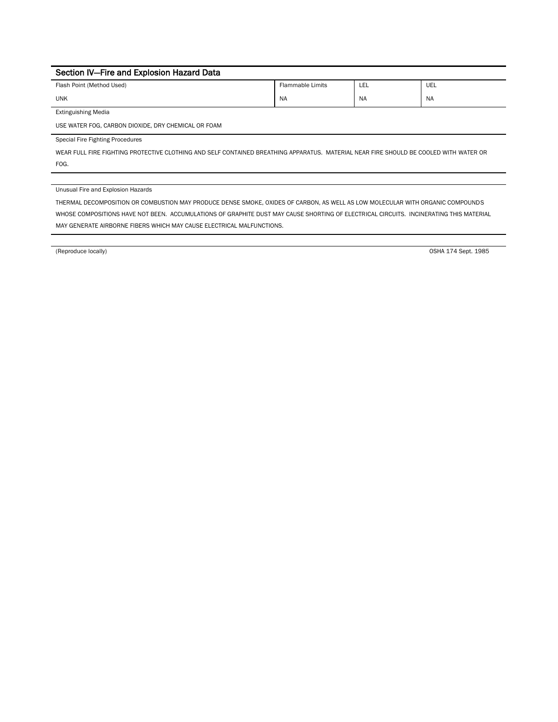| Section IV-Fire and Explosion Hazard Data                          |           |           |           |
|--------------------------------------------------------------------|-----------|-----------|-----------|
| UEL<br><b>Flammable Limits</b><br>Flash Point (Method Used)<br>LEL |           |           |           |
| <b>UNK</b>                                                         | <b>NA</b> | <b>NA</b> | <b>NA</b> |
| <b>Extinguishing Media</b>                                         |           |           |           |
| USE WATER FOG, CARBON DIOXIDE, DRY CHEMICAL OR FOAM                |           |           |           |

Special Fire Fighting Procedures

WEAR FULL FIRE FIGHTING PROTECTIVE CLOTHING AND SELF CONTAINED BREATHING APPARATUS. MATERIAL NEAR FIRE SHOULD BE COOLED WITH WATER OR FOG.

Unusual Fire and Explosion Hazards

THERMAL DECOMPOSITION OR COMBUSTION MAY PRODUCE DENSE SMOKE, OXIDES OF CARBON, AS WELL AS LOW MOLECULAR WITH ORGANIC COMPOUNDS WHOSE COMPOSITIONS HAVE NOT BEEN. ACCUMULATIONS OF GRAPHITE DUST MAY CAUSE SHORTING OF ELECTRICAL CIRCUITS. INCINERATING THIS MATERIAL MAY GENERATE AIRBORNE FIBERS WHICH MAY CAUSE ELECTRICAL MALFUNCTIONS.

(Reproduce locally) OSHA 174 Sept. 1985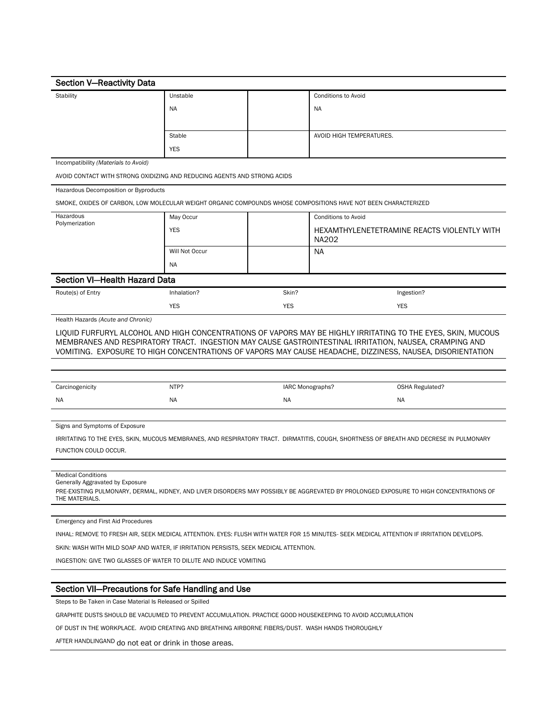| <b>Section V-Reactivity Data</b>                                                                                                                                                                                                                                                                                                    |                |            |                                                                                                                                        |  |
|-------------------------------------------------------------------------------------------------------------------------------------------------------------------------------------------------------------------------------------------------------------------------------------------------------------------------------------|----------------|------------|----------------------------------------------------------------------------------------------------------------------------------------|--|
| Stability                                                                                                                                                                                                                                                                                                                           | Unstable       |            | <b>Conditions to Avoid</b>                                                                                                             |  |
|                                                                                                                                                                                                                                                                                                                                     | NA             |            | <b>NA</b>                                                                                                                              |  |
|                                                                                                                                                                                                                                                                                                                                     |                |            |                                                                                                                                        |  |
|                                                                                                                                                                                                                                                                                                                                     | Stable         |            | AVOID HIGH TEMPERATURES.                                                                                                               |  |
|                                                                                                                                                                                                                                                                                                                                     | <b>YES</b>     |            |                                                                                                                                        |  |
| Incompatibility (Materials to Avoid)                                                                                                                                                                                                                                                                                                |                |            |                                                                                                                                        |  |
| AVOID CONTACT WITH STRONG OXIDIZING AND REDUCING AGENTS AND STRONG ACIDS                                                                                                                                                                                                                                                            |                |            |                                                                                                                                        |  |
| Hazardous Decomposition or Byproducts                                                                                                                                                                                                                                                                                               |                |            |                                                                                                                                        |  |
|                                                                                                                                                                                                                                                                                                                                     |                |            | SMOKE, OXIDES OF CARBON, LOW MOLECULAR WEIGHT ORGANIC COMPOUNDS WHOSE COMPOSITIONS HAVE NOT BEEN CHARACTERIZED                         |  |
| Hazardous                                                                                                                                                                                                                                                                                                                           | May Occur      |            | <b>Conditions to Avoid</b>                                                                                                             |  |
| Polymerization                                                                                                                                                                                                                                                                                                                      | <b>YES</b>     |            | HEXAMTHYLENETETRAMINE REACTS VIOLENTLY WITH                                                                                            |  |
|                                                                                                                                                                                                                                                                                                                                     |                |            | <b>NA202</b>                                                                                                                           |  |
|                                                                                                                                                                                                                                                                                                                                     | Will Not Occur |            | NA.                                                                                                                                    |  |
|                                                                                                                                                                                                                                                                                                                                     | <b>NA</b>      |            |                                                                                                                                        |  |
| <b>Section VI-Health Hazard Data</b>                                                                                                                                                                                                                                                                                                |                |            |                                                                                                                                        |  |
| Route(s) of Entry                                                                                                                                                                                                                                                                                                                   | Inhalation?    | Skin?      | Ingestion?                                                                                                                             |  |
|                                                                                                                                                                                                                                                                                                                                     | <b>YES</b>     | <b>YES</b> | <b>YES</b>                                                                                                                             |  |
| Health Hazards (Acute and Chronic)                                                                                                                                                                                                                                                                                                  |                |            |                                                                                                                                        |  |
| LIQUID FURFURYL ALCOHOL AND HIGH CONCENTRATIONS OF VAPORS MAY BE HIGHLY IRRITATING TO THE EYES, SKIN, MUCOUS<br>MEMBRANES AND RESPIRATORY TRACT. INGESTION MAY CAUSE GASTROINTESTINAL IRRITATION, NAUSEA, CRAMPING AND<br>VOMITING. EXPOSURE TO HIGH CONCENTRATIONS OF VAPORS MAY CAUSE HEADACHE, DIZZINESS, NAUSEA, DISORIENTATION |                |            |                                                                                                                                        |  |
|                                                                                                                                                                                                                                                                                                                                     |                |            |                                                                                                                                        |  |
|                                                                                                                                                                                                                                                                                                                                     |                |            |                                                                                                                                        |  |
| Carcinogenicity                                                                                                                                                                                                                                                                                                                     | NTP?           |            | IARC Monographs?<br><b>OSHA Regulated?</b>                                                                                             |  |
| NA                                                                                                                                                                                                                                                                                                                                  | <b>NA</b>      | NA         | NA                                                                                                                                     |  |
|                                                                                                                                                                                                                                                                                                                                     |                |            |                                                                                                                                        |  |
| Signs and Symptoms of Exposure                                                                                                                                                                                                                                                                                                      |                |            |                                                                                                                                        |  |
| FUNCTION COULD OCCUR.                                                                                                                                                                                                                                                                                                               |                |            | IRRITATING TO THE EYES, SKIN, MUCOUS MEMBRANES, AND RESPIRATORY TRACT. DIRMATITIS, COUGH, SHORTNESS OF BREATH AND DECRESE IN PULMONARY |  |
|                                                                                                                                                                                                                                                                                                                                     |                |            |                                                                                                                                        |  |
| <b>Medical Conditions</b>                                                                                                                                                                                                                                                                                                           |                |            |                                                                                                                                        |  |
| Generally Aggravated by Exposure<br>PRE-EXISTING PULMONARY, DERMAL, KIDNEY, AND LIVER DISORDERS MAY POSSIBLY BE AGGREVATED BY PROLONGED EXPOSURE TO HIGH CONCENTRATIONS OF<br>THE MATERIALS.                                                                                                                                        |                |            |                                                                                                                                        |  |
|                                                                                                                                                                                                                                                                                                                                     |                |            |                                                                                                                                        |  |
| <b>Emergency and First Aid Procedures</b>                                                                                                                                                                                                                                                                                           |                |            |                                                                                                                                        |  |
| INHAL: REMOVE TO FRESH AIR, SEEK MEDICAL ATTENTION. EYES: FLUSH WITH WATER FOR 15 MINUTES- SEEK MEDICAL ATTENTION IF IRRITATION DEVELOPS.                                                                                                                                                                                           |                |            |                                                                                                                                        |  |
| SKIN: WASH WITH MILD SOAP AND WATER, IF IRRITATION PERSISTS, SEEK MEDICAL ATTENTION.                                                                                                                                                                                                                                                |                |            |                                                                                                                                        |  |
| INGESTION: GIVE TWO GLASSES OF WATER TO DILUTE AND INDUCE VOMITING                                                                                                                                                                                                                                                                  |                |            |                                                                                                                                        |  |
|                                                                                                                                                                                                                                                                                                                                     |                |            |                                                                                                                                        |  |
| Section VII-Precautions for Safe Handling and Use                                                                                                                                                                                                                                                                                   |                |            |                                                                                                                                        |  |
| Steps to Be Taken in Case Material Is Released or Spilled                                                                                                                                                                                                                                                                           |                |            |                                                                                                                                        |  |
| GRAPHITE DUSTS SHOULD BE VACUUMED TO PREVENT ACCUMULATION. PRACTICE GOOD HOUSEKEEPING TO AVOID ACCUMULATION                                                                                                                                                                                                                         |                |            |                                                                                                                                        |  |
| OF DUST IN THE WORKPLACE. AVOID CREATING AND BREATHING AIRBORNE FIBERS/DUST. WASH HANDS THOROUGHLY                                                                                                                                                                                                                                  |                |            |                                                                                                                                        |  |
| AFTER HANDLINGAND do not eat or drink in those areas.                                                                                                                                                                                                                                                                               |                |            |                                                                                                                                        |  |